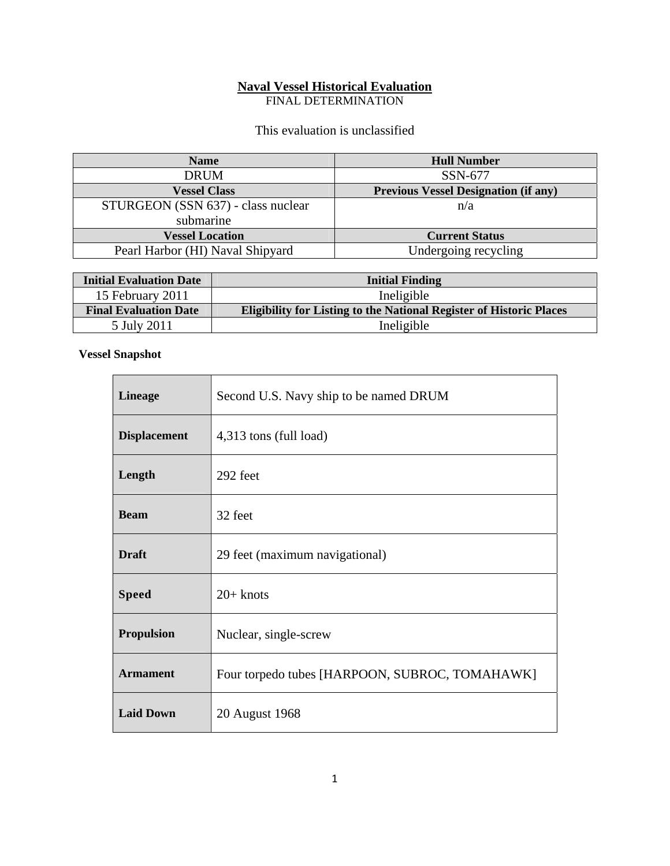## **Naval Vessel Historical Evaluation**

FINAL DETERMINATION

This evaluation is unclassified

| <b>Name</b>                        | <b>Hull Number</b>                          |
|------------------------------------|---------------------------------------------|
| <b>DRUM</b>                        | SSN-677                                     |
| <b>Vessel Class</b>                | <b>Previous Vessel Designation (if any)</b> |
| STURGEON (SSN 637) - class nuclear | n/a                                         |
| submarine                          |                                             |
| <b>Vessel Location</b>             | <b>Current Status</b>                       |
| Pearl Harbor (HI) Naval Shipyard   | Undergoing recycling                        |

| <b>Initial Evaluation Date</b> | <b>Initial Finding</b>                                                     |
|--------------------------------|----------------------------------------------------------------------------|
| 15 February 2011               | Ineligible                                                                 |
| <b>Final Evaluation Date</b>   | <b>Eligibility for Listing to the National Register of Historic Places</b> |
| 5 July 2011                    | Ineligible                                                                 |

<u> 1980 - Jan Samuel Barbara, margaret eta idazlea (h. 1980).</u>

 $\overline{\phantom{0}}$ 

## **Vessel Snapshot**

| <b>Lineage</b>      | Second U.S. Navy ship to be named DRUM         |
|---------------------|------------------------------------------------|
| <b>Displacement</b> | 4,313 tons (full load)                         |
| Length              | 292 feet                                       |
| <b>Beam</b>         | 32 feet                                        |
| <b>Draft</b>        | 29 feet (maximum navigational)                 |
| <b>Speed</b>        | $20+$ knots                                    |
| <b>Propulsion</b>   | Nuclear, single-screw                          |
| <b>Armament</b>     | Four torpedo tubes [HARPOON, SUBROC, TOMAHAWK] |
| <b>Laid Down</b>    | 20 August 1968                                 |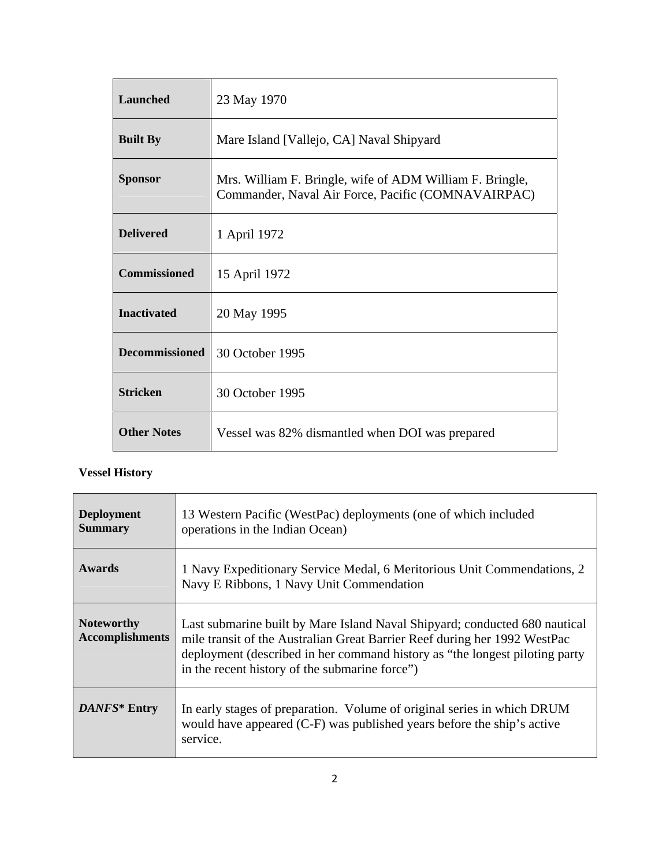| Launched              | 23 May 1970                                                                                                    |
|-----------------------|----------------------------------------------------------------------------------------------------------------|
| <b>Built By</b>       | Mare Island [Vallejo, CA] Naval Shipyard                                                                       |
| <b>Sponsor</b>        | Mrs. William F. Bringle, wife of ADM William F. Bringle,<br>Commander, Naval Air Force, Pacific (COMNAVAIRPAC) |
| <b>Delivered</b>      | 1 April 1972                                                                                                   |
| <b>Commissioned</b>   | 15 April 1972                                                                                                  |
| <b>Inactivated</b>    | 20 May 1995                                                                                                    |
| <b>Decommissioned</b> | 30 October 1995                                                                                                |
| <b>Stricken</b>       | 30 October 1995                                                                                                |
| <b>Other Notes</b>    | Vessel was 82% dismantled when DOI was prepared                                                                |

## **Vessel History**

| <b>Deployment</b><br><b>Summary</b>         | 13 Western Pacific (WestPac) deployments (one of which included<br>operations in the Indian Ocean)                                                                                                                                                                                       |
|---------------------------------------------|------------------------------------------------------------------------------------------------------------------------------------------------------------------------------------------------------------------------------------------------------------------------------------------|
| <b>Awards</b>                               | 1 Navy Expeditionary Service Medal, 6 Meritorious Unit Commendations, 2<br>Navy E Ribbons, 1 Navy Unit Commendation                                                                                                                                                                      |
| <b>Noteworthy</b><br><b>Accomplishments</b> | Last submarine built by Mare Island Naval Shipyard; conducted 680 nautical<br>mile transit of the Australian Great Barrier Reef during her 1992 WestPac<br>deployment (described in her command history as "the longest piloting party<br>in the recent history of the submarine force") |
| DANFS* Entry                                | In early stages of preparation. Volume of original series in which DRUM<br>would have appeared (C-F) was published years before the ship's active<br>service.                                                                                                                            |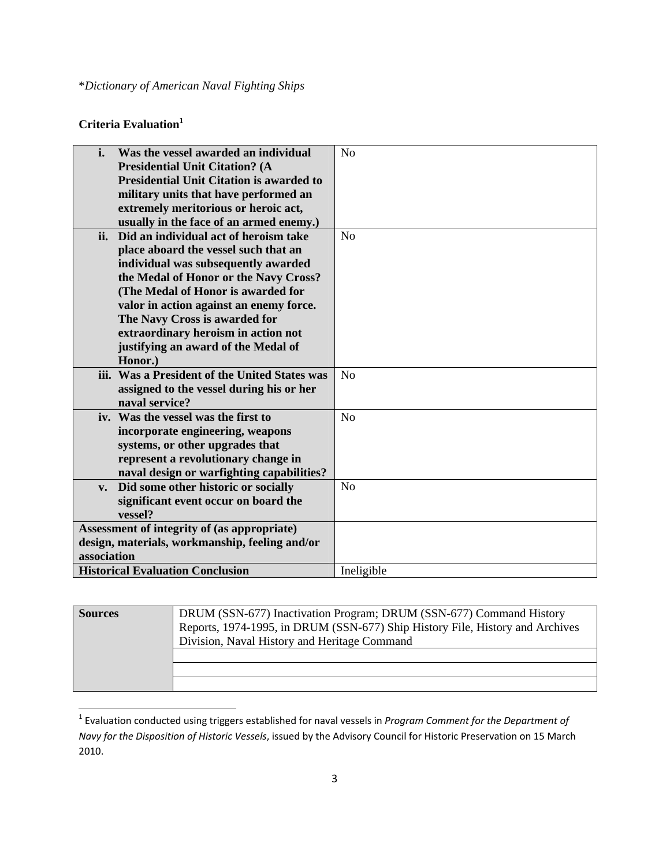## Criteria Evaluation<sup>1</sup>

| i.                                             | Was the vessel awarded an individual            | N <sub>o</sub> |
|------------------------------------------------|-------------------------------------------------|----------------|
|                                                | <b>Presidential Unit Citation? (A</b>           |                |
|                                                | <b>Presidential Unit Citation is awarded to</b> |                |
|                                                | military units that have performed an           |                |
|                                                | extremely meritorious or heroic act,            |                |
|                                                | usually in the face of an armed enemy.)         |                |
| ii.                                            | Did an individual act of heroism take           | N <sub>o</sub> |
|                                                | place aboard the vessel such that an            |                |
|                                                | individual was subsequently awarded             |                |
|                                                | the Medal of Honor or the Navy Cross?           |                |
|                                                | (The Medal of Honor is awarded for              |                |
|                                                | valor in action against an enemy force.         |                |
|                                                | The Navy Cross is awarded for                   |                |
|                                                | extraordinary heroism in action not             |                |
|                                                | justifying an award of the Medal of             |                |
|                                                | Honor.)                                         |                |
|                                                | iii. Was a President of the United States was   | No             |
|                                                | assigned to the vessel during his or her        |                |
|                                                | naval service?                                  |                |
|                                                | iv. Was the vessel was the first to             | N <sub>o</sub> |
|                                                | incorporate engineering, weapons                |                |
|                                                | systems, or other upgrades that                 |                |
|                                                | represent a revolutionary change in             |                |
|                                                | naval design or warfighting capabilities?       |                |
| $V_{\bullet}$                                  | Did some other historic or socially             | No             |
|                                                | significant event occur on board the            |                |
|                                                | vessel?                                         |                |
| Assessment of integrity of (as appropriate)    |                                                 |                |
| design, materials, workmanship, feeling and/or |                                                 |                |
| association                                    |                                                 |                |
|                                                | <b>Historical Evaluation Conclusion</b>         | Ineligible     |

| <b>Sources</b> | DRUM (SSN-677) Inactivation Program; DRUM (SSN-677) Command History           |  |
|----------------|-------------------------------------------------------------------------------|--|
|                | Reports, 1974-1995, in DRUM (SSN-677) Ship History File, History and Archives |  |
|                | Division, Naval History and Heritage Command                                  |  |
|                |                                                                               |  |
|                |                                                                               |  |
|                |                                                                               |  |

<sup>1</sup> Evaluation conducted using triggers established for naval vessels in *Program Comment for the Department of Navy for the Disposition of Historic Vessels*, issued by the Advisory Council for Historic Preservation on 15 March 2010.